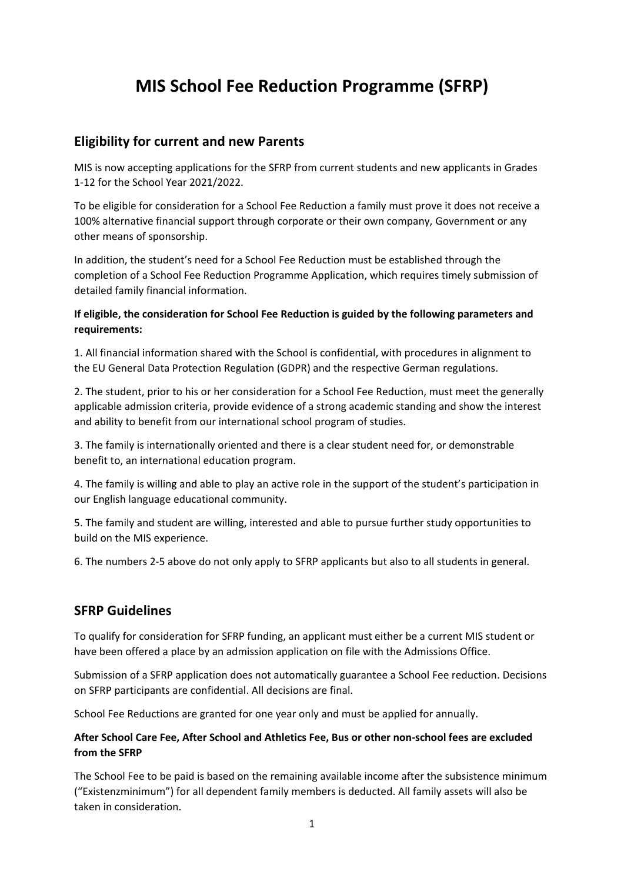# **MIS School Fee Reduction Programme (SFRP)**

## **Eligibility for current and new Parents**

MIS is now accepting applications for the SFRP from current students and new applicants in Grades 1-12 for the School Year 2021/2022.

To be eligible for consideration for a School Fee Reduction a family must prove it does not receive a 100% alternative financial support through corporate or their own company, Government or any other means of sponsorship.

In addition, the student's need for a School Fee Reduction must be established through the completion of a School Fee Reduction Programme Application, which requires timely submission of detailed family financial information.

#### **If eligible, the consideration for School Fee Reduction is guided by the following parameters and requirements:**

1. All financial information shared with the School is confidential, with procedures in alignment to the EU General Data Protection Regulation (GDPR) and the respective German regulations.

2. The student, prior to his or her consideration for a School Fee Reduction, must meet the generally applicable admission criteria, provide evidence of a strong academic standing and show the interest and ability to benefit from our international school program of studies.

3. The family is internationally oriented and there is a clear student need for, or demonstrable benefit to, an international education program.

4. The family is willing and able to play an active role in the support of the student's participation in our English language educational community.

5. The family and student are willing, interested and able to pursue further study opportunities to build on the MIS experience.

6. The numbers 2-5 above do not only apply to SFRP applicants but also to all students in general.

### **SFRP Guidelines**

To qualify for consideration for SFRP funding, an applicant must either be a current MIS student or have been offered a place by an admission application on file with the Admissions Office.

Submission of a SFRP application does not automatically guarantee a School Fee reduction. Decisions on SFRP participants are confidential. All decisions are final.

School Fee Reductions are granted for one year only and must be applied for annually.

#### **After School Care Fee, After School and Athletics Fee, Bus or other non-school fees are excluded from the SFRP**

The School Fee to be paid is based on the remaining available income after the subsistence minimum ("Existenzminimum") for all dependent family members is deducted. All family assets will also be taken in consideration.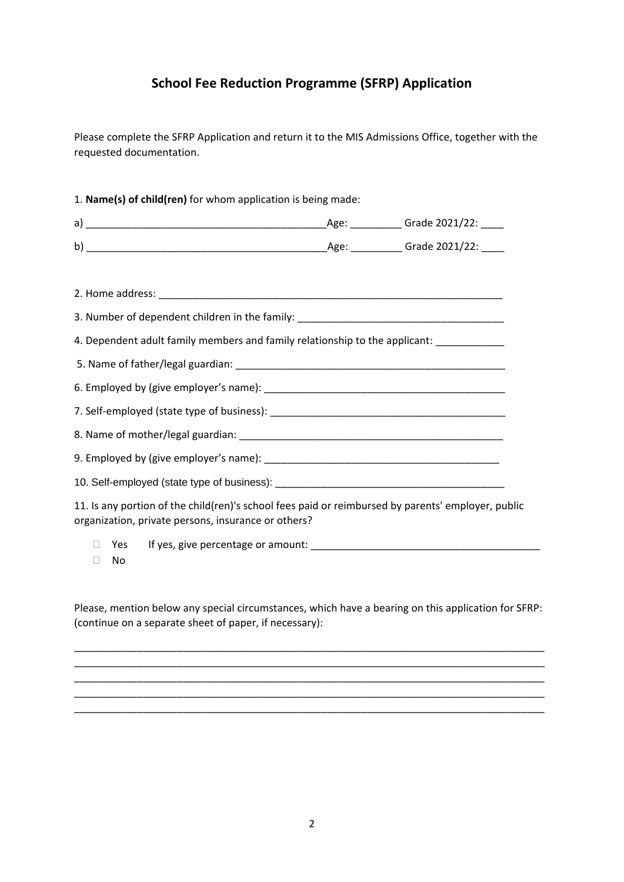## **School Fee Reduction Programme (SFRP) Application**

Please complete the SFRP Application and return it to the MIS Admissions Office, together with the requested documentation.

| 3. Number of dependent children in the family: _________________________________                                                                          |  |
|-----------------------------------------------------------------------------------------------------------------------------------------------------------|--|
| 4. Dependent adult family members and family relationship to the applicant: ___________                                                                   |  |
|                                                                                                                                                           |  |
|                                                                                                                                                           |  |
|                                                                                                                                                           |  |
|                                                                                                                                                           |  |
|                                                                                                                                                           |  |
|                                                                                                                                                           |  |
| 11. Is any portion of the child(ren)'s school fees paid or reimbursed by parents' employer, public<br>organization, private persons, insurance or others? |  |
| Yes<br>No<br>$\Box$                                                                                                                                       |  |

Please, mention below any special circumstances, which have a bearing on this application for SFRP: (continue on a separate sheet of paper, if necessary):

\_\_\_\_\_\_\_\_\_\_\_\_\_\_\_\_\_\_\_\_\_\_\_\_\_\_\_\_\_\_\_\_\_\_\_\_\_\_\_\_\_\_\_\_\_\_\_\_\_\_\_\_\_\_\_\_\_\_\_\_\_\_\_\_\_\_\_\_\_\_\_\_\_\_\_\_\_\_\_\_\_\_ \_\_\_\_\_\_\_\_\_\_\_\_\_\_\_\_\_\_\_\_\_\_\_\_\_\_\_\_\_\_\_\_\_\_\_\_\_\_\_\_\_\_\_\_\_\_\_\_\_\_\_\_\_\_\_\_\_\_\_\_\_\_\_\_\_\_\_\_\_\_\_\_\_\_\_\_\_\_\_\_\_\_

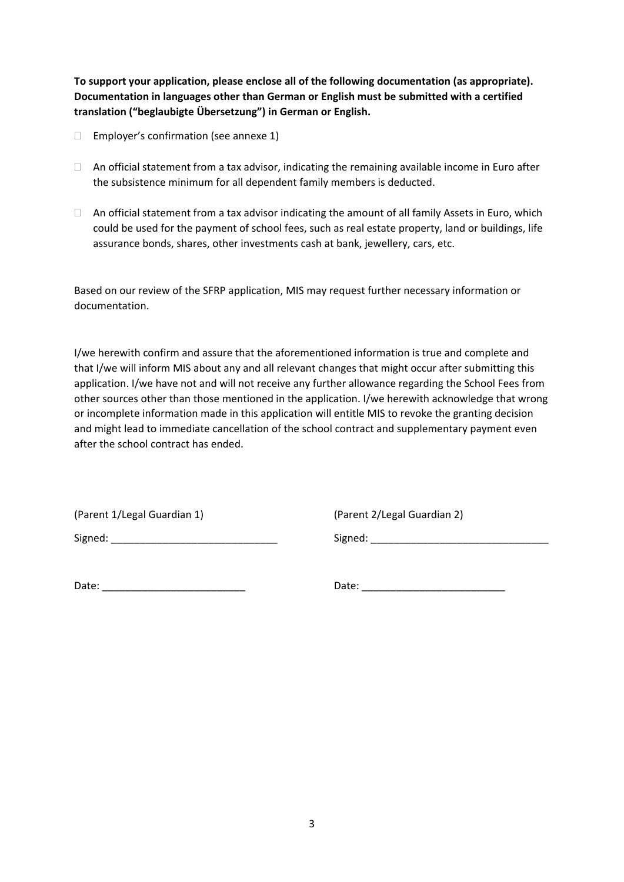**To support your application, please enclose all of the following documentation (as appropriate). Documentation in languages other than German or English must be submitted with a certified translation ("beglaubigte Übersetzung") in German or English.** 

- $\Box$  Employer's confirmation (see annexe 1)
- $\Box$  An official statement from a tax advisor, indicating the remaining available income in Euro after the subsistence minimum for all dependent family members is deducted.
- $\Box$  An official statement from a tax advisor indicating the amount of all family Assets in Euro, which could be used for the payment of school fees, such as real estate property, land or buildings, life assurance bonds, shares, other investments cash at bank, jewellery, cars, etc.

Based on our review of the SFRP application, MIS may request further necessary information or documentation.

I/we herewith confirm and assure that the aforementioned information is true and complete and that I/we will inform MIS about any and all relevant changes that might occur after submitting this application. I/we have not and will not receive any further allowance regarding the School Fees from other sources other than those mentioned in the application. I/we herewith acknowledge that wrong or incomplete information made in this application will entitle MIS to revoke the granting decision and might lead to immediate cancellation of the school contract and supplementary payment even after the school contract has ended.

(Parent 1/Legal Guardian 1) (Parent 2/Legal Guardian 2)

Signed: \_\_\_\_\_\_\_\_\_\_\_\_\_\_\_\_\_\_\_\_\_\_\_\_\_\_\_\_\_ Signed: \_\_\_\_\_\_\_\_\_\_\_\_\_\_\_\_\_\_\_\_\_\_\_\_\_\_\_\_\_\_\_

Date: \_\_\_\_\_\_\_\_\_\_\_\_\_\_\_\_\_\_\_\_\_\_\_\_\_ Date: \_\_\_\_\_\_\_\_\_\_\_\_\_\_\_\_\_\_\_\_\_\_\_\_\_